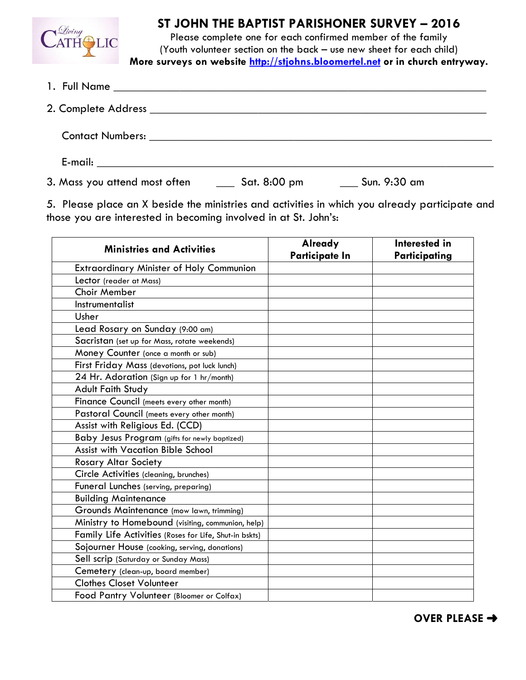

## **ST JOHN THE BAPTIST PARISHONER SURVEY – 2016**

Please complete one for each confirmed member of the family (Youth volunteer section on the back – use new sheet for each child) **More surveys on website http://stjohns.bloomertel.net or in church entryway.**

| 3. Mass you attend most often | $\frac{1}{2}$ Sat. 8:00 pm | $\frac{1}{2}$ Sun. 9:30 am |  |
|-------------------------------|----------------------------|----------------------------|--|

5. Please place an X beside the ministries and activities in which you already participate and those you are interested in becoming involved in at St. John's:

| <b>Ministries and Activities</b>                       | <b>Already</b><br><b>Participate In</b> | Interested in<br>Participating |
|--------------------------------------------------------|-----------------------------------------|--------------------------------|
| <b>Extraordinary Minister of Holy Communion</b>        |                                         |                                |
| Lector (reader at Mass)                                |                                         |                                |
| <b>Choir Member</b>                                    |                                         |                                |
| Instrumentalist                                        |                                         |                                |
| Usher                                                  |                                         |                                |
| Lead Rosary on Sunday (9:00 am)                        |                                         |                                |
| Sacristan (set up for Mass, rotate weekends)           |                                         |                                |
| Money Counter (once a month or sub)                    |                                         |                                |
| First Friday Mass (devotions, pot luck lunch)          |                                         |                                |
| 24 Hr. Adoration (Sign up for 1 hr/month)              |                                         |                                |
| <b>Adult Faith Study</b>                               |                                         |                                |
| Finance Council (meets every other month)              |                                         |                                |
| Pastoral Council (meets every other month)             |                                         |                                |
| Assist with Religious Ed. (CCD)                        |                                         |                                |
| Baby Jesus Program (gifts for newly baptized)          |                                         |                                |
| <b>Assist with Vacation Bible School</b>               |                                         |                                |
| <b>Rosary Altar Society</b>                            |                                         |                                |
| Circle Activities (cleaning, brunches)                 |                                         |                                |
| Funeral Lunches (serving, preparing)                   |                                         |                                |
| <b>Building Maintenance</b>                            |                                         |                                |
| Grounds Maintenance (mow lawn, trimming)               |                                         |                                |
| Ministry to Homebound (visiting, communion, help)      |                                         |                                |
| Family Life Activities (Roses for Life, Shut-in bskts) |                                         |                                |
| Sojourner House (cooking, serving, donations)          |                                         |                                |
| Sell scrip (Saturday or Sunday Mass)                   |                                         |                                |
| Cemetery (clean-up, board member)                      |                                         |                                |
| <b>Clothes Closet Volunteer</b>                        |                                         |                                |
| Food Pantry Volunteer (Bloomer or Colfax)              |                                         |                                |